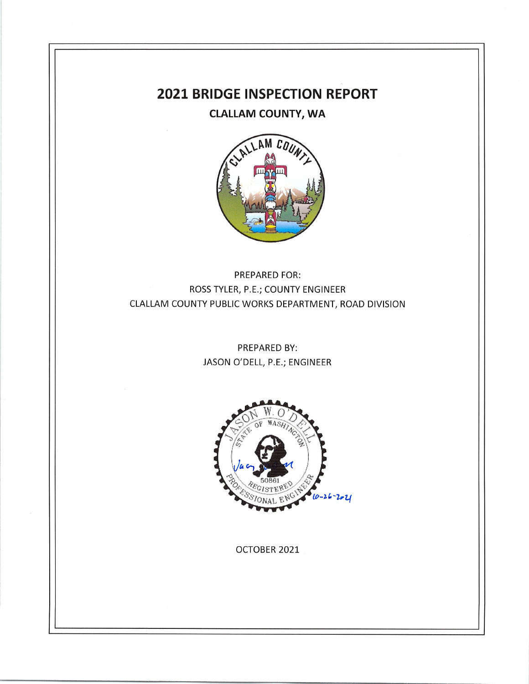# **2021 BRIDGE INSPECTION REPORT**

**CLALLAM COUNTY, WA** 



PREPARED FOR: ROSS TYLER, P.E.; COUNTY ENGINEER CLALLAM COUNTY PUBLIC WORKS DEPARTMENT, ROAD DIVISION

> PREPARED BY: JASON O'DELL, P.E.; ENGINEER



OCTOBER 2021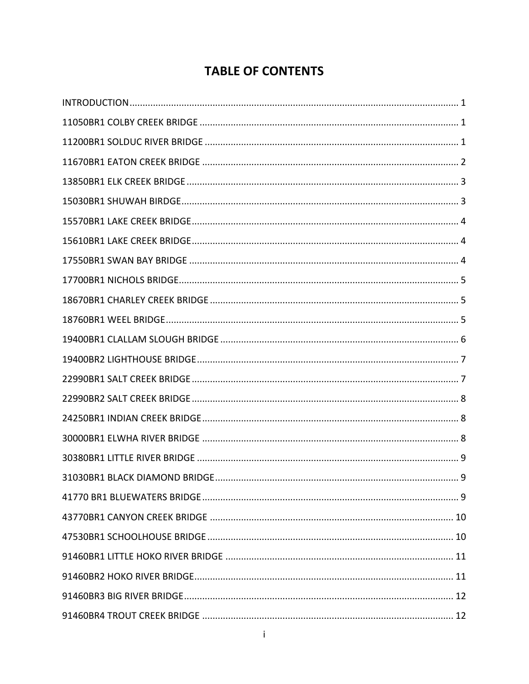# **TABLE OF CONTENTS**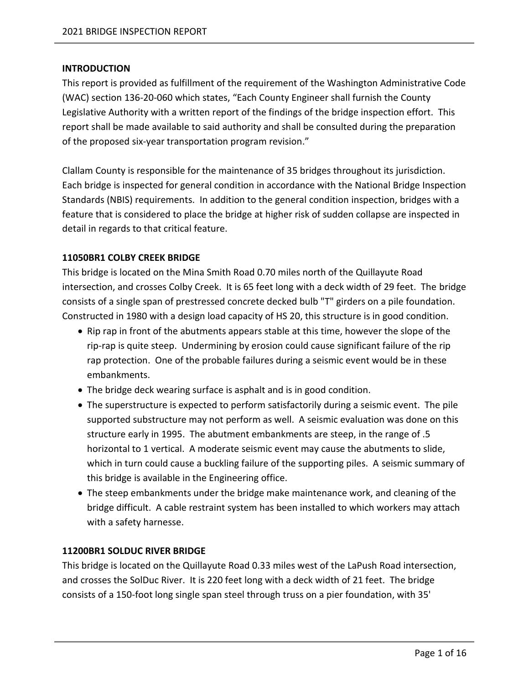#### <span id="page-3-0"></span>**INTRODUCTION**

This report is provided as fulfillment of the requirement of the Washington Administrative Code (WAC) section 136-20-060 which states, "Each County Engineer shall furnish the County Legislative Authority with a written report of the findings of the bridge inspection effort. This report shall be made available to said authority and shall be consulted during the preparation of the proposed six-year transportation program revision."

Clallam County is responsible for the maintenance of 35 bridges throughout its jurisdiction. Each bridge is inspected for general condition in accordance with the National Bridge Inspection Standards (NBIS) requirements. In addition to the general condition inspection, bridges with a feature that is considered to place the bridge at higher risk of sudden collapse are inspected in detail in regards to that critical feature.

## <span id="page-3-1"></span>**11050BR1 COLBY CREEK BRIDGE**

This bridge is located on the Mina Smith Road 0.70 miles north of the Quillayute Road intersection, and crosses Colby Creek. It is 65 feet long with a deck width of 29 feet. The bridge consists of a single span of prestressed concrete decked bulb "T" girders on a pile foundation. Constructed in 1980 with a design load capacity of HS 20, this structure is in good condition.

- Rip rap in front of the abutments appears stable at this time, however the slope of the rip-rap is quite steep. Undermining by erosion could cause significant failure of the rip rap protection. One of the probable failures during a seismic event would be in these embankments.
- The bridge deck wearing surface is asphalt and is in good condition.
- The superstructure is expected to perform satisfactorily during a seismic event. The pile supported substructure may not perform as well. A seismic evaluation was done on this structure early in 1995. The abutment embankments are steep, in the range of .5 horizontal to 1 vertical. A moderate seismic event may cause the abutments to slide, which in turn could cause a buckling failure of the supporting piles. A seismic summary of this bridge is available in the Engineering office.
- The steep embankments under the bridge make maintenance work, and cleaning of the bridge difficult. A cable restraint system has been installed to which workers may attach with a safety harnesse.

## <span id="page-3-2"></span>**11200BR1 SOLDUC RIVER BRIDGE**

This bridge is located on the Quillayute Road 0.33 miles west of the LaPush Road intersection, and crosses the SolDuc River. It is 220 feet long with a deck width of 21 feet. The bridge consists of a 150-foot long single span steel through truss on a pier foundation, with 35'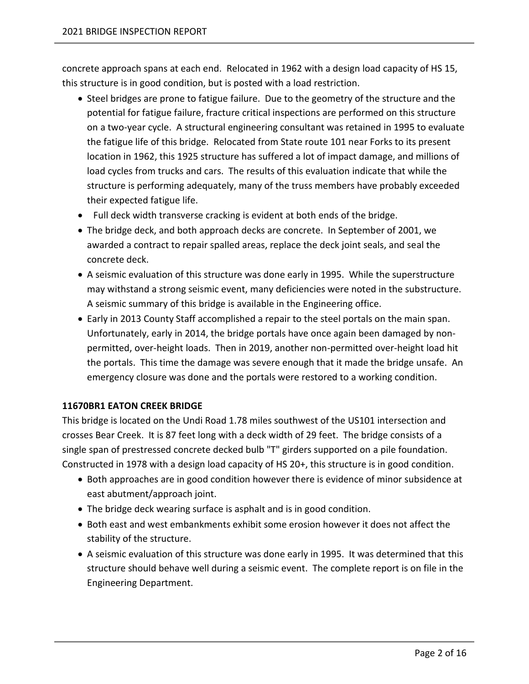concrete approach spans at each end. Relocated in 1962 with a design load capacity of HS 15, this structure is in good condition, but is posted with a load restriction.

- Steel bridges are prone to fatigue failure. Due to the geometry of the structure and the potential for fatigue failure, fracture critical inspections are performed on this structure on a two-year cycle. A structural engineering consultant was retained in 1995 to evaluate the fatigue life of this bridge. Relocated from State route 101 near Forks to its present location in 1962, this 1925 structure has suffered a lot of impact damage, and millions of load cycles from trucks and cars. The results of this evaluation indicate that while the structure is performing adequately, many of the truss members have probably exceeded their expected fatigue life.
- Full deck width transverse cracking is evident at both ends of the bridge.
- The bridge deck, and both approach decks are concrete. In September of 2001, we awarded a contract to repair spalled areas, replace the deck joint seals, and seal the concrete deck.
- A seismic evaluation of this structure was done early in 1995. While the superstructure may withstand a strong seismic event, many deficiencies were noted in the substructure. A seismic summary of this bridge is available in the Engineering office.
- Early in 2013 County Staff accomplished a repair to the steel portals on the main span. Unfortunately, early in 2014, the bridge portals have once again been damaged by nonpermitted, over-height loads. Then in 2019, another non-permitted over-height load hit the portals. This time the damage was severe enough that it made the bridge unsafe. An emergency closure was done and the portals were restored to a working condition.

## <span id="page-4-0"></span>**11670BR1 EATON CREEK BRIDGE**

This bridge is located on the Undi Road 1.78 miles southwest of the US101 intersection and crosses Bear Creek. It is 87 feet long with a deck width of 29 feet. The bridge consists of a single span of prestressed concrete decked bulb "T" girders supported on a pile foundation. Constructed in 1978 with a design load capacity of HS 20+, this structure is in good condition.

- Both approaches are in good condition however there is evidence of minor subsidence at east abutment/approach joint.
- The bridge deck wearing surface is asphalt and is in good condition.
- Both east and west embankments exhibit some erosion however it does not affect the stability of the structure.
- A seismic evaluation of this structure was done early in 1995. It was determined that this structure should behave well during a seismic event. The complete report is on file in the Engineering Department.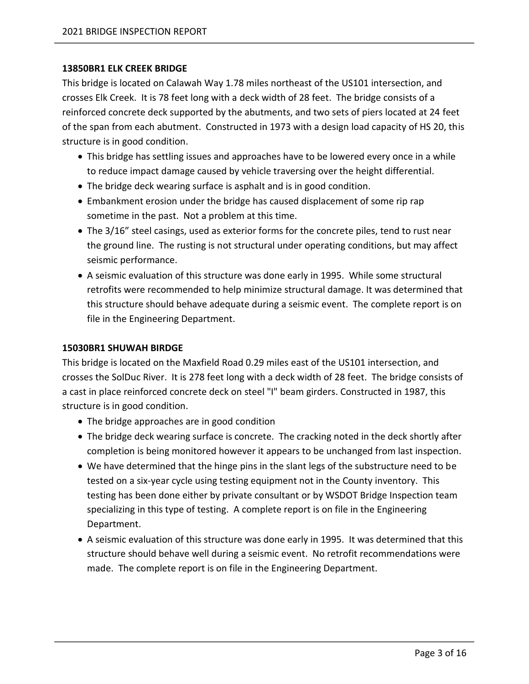#### <span id="page-5-0"></span>**13850BR1 ELK CREEK BRIDGE**

This bridge is located on Calawah Way 1.78 miles northeast of the US101 intersection, and crosses Elk Creek. It is 78 feet long with a deck width of 28 feet. The bridge consists of a reinforced concrete deck supported by the abutments, and two sets of piers located at 24 feet of the span from each abutment. Constructed in 1973 with a design load capacity of HS 20, this structure is in good condition.

- This bridge has settling issues and approaches have to be lowered every once in a while to reduce impact damage caused by vehicle traversing over the height differential.
- The bridge deck wearing surface is asphalt and is in good condition.
- Embankment erosion under the bridge has caused displacement of some rip rap sometime in the past. Not a problem at this time.
- The 3/16" steel casings, used as exterior forms for the concrete piles, tend to rust near the ground line. The rusting is not structural under operating conditions, but may affect seismic performance.
- A seismic evaluation of this structure was done early in 1995. While some structural retrofits were recommended to help minimize structural damage. It was determined that this structure should behave adequate during a seismic event. The complete report is on file in the Engineering Department.

#### <span id="page-5-1"></span>**15030BR1 SHUWAH BIRDGE**

This bridge is located on the Maxfield Road 0.29 miles east of the US101 intersection, and crosses the SolDuc River. It is 278 feet long with a deck width of 28 feet. The bridge consists of a cast in place reinforced concrete deck on steel "I" beam girders. Constructed in 1987, this structure is in good condition.

- The bridge approaches are in good condition
- The bridge deck wearing surface is concrete. The cracking noted in the deck shortly after completion is being monitored however it appears to be unchanged from last inspection.
- We have determined that the hinge pins in the slant legs of the substructure need to be tested on a six-year cycle using testing equipment not in the County inventory. This testing has been done either by private consultant or by WSDOT Bridge Inspection team specializing in this type of testing. A complete report is on file in the Engineering Department.
- A seismic evaluation of this structure was done early in 1995. It was determined that this structure should behave well during a seismic event. No retrofit recommendations were made. The complete report is on file in the Engineering Department.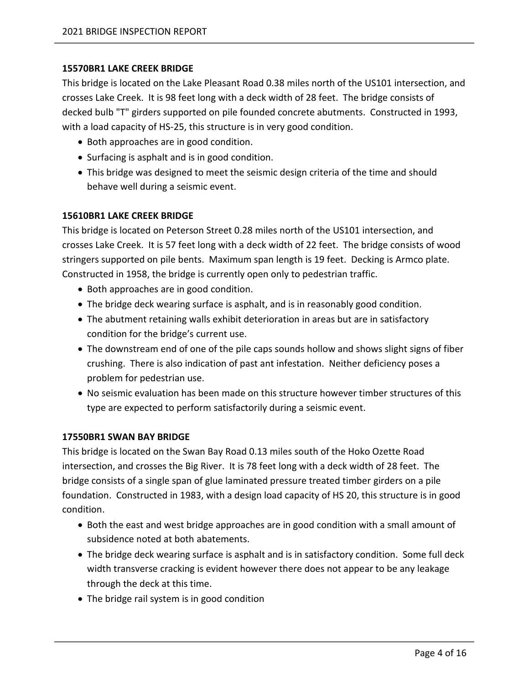## <span id="page-6-0"></span>**15570BR1 LAKE CREEK BRIDGE**

This bridge is located on the Lake Pleasant Road 0.38 miles north of the US101 intersection, and crosses Lake Creek. It is 98 feet long with a deck width of 28 feet. The bridge consists of decked bulb "T" girders supported on pile founded concrete abutments. Constructed in 1993, with a load capacity of HS-25, this structure is in very good condition.

- Both approaches are in good condition.
- Surfacing is asphalt and is in good condition.
- This bridge was designed to meet the seismic design criteria of the time and should behave well during a seismic event.

## <span id="page-6-1"></span>**15610BR1 LAKE CREEK BRIDGE**

This bridge is located on Peterson Street 0.28 miles north of the US101 intersection, and crosses Lake Creek. It is 57 feet long with a deck width of 22 feet. The bridge consists of wood stringers supported on pile bents. Maximum span length is 19 feet. Decking is Armco plate. Constructed in 1958, the bridge is currently open only to pedestrian traffic.

- Both approaches are in good condition.
- The bridge deck wearing surface is asphalt, and is in reasonably good condition.
- The abutment retaining walls exhibit deterioration in areas but are in satisfactory condition for the bridge's current use.
- The downstream end of one of the pile caps sounds hollow and shows slight signs of fiber crushing. There is also indication of past ant infestation. Neither deficiency poses a problem for pedestrian use.
- No seismic evaluation has been made on this structure however timber structures of this type are expected to perform satisfactorily during a seismic event.

# <span id="page-6-2"></span>**17550BR1 SWAN BAY BRIDGE**

This bridge is located on the Swan Bay Road 0.13 miles south of the Hoko Ozette Road intersection, and crosses the Big River. It is 78 feet long with a deck width of 28 feet. The bridge consists of a single span of glue laminated pressure treated timber girders on a pile foundation. Constructed in 1983, with a design load capacity of HS 20, this structure is in good condition.

- Both the east and west bridge approaches are in good condition with a small amount of subsidence noted at both abatements.
- The bridge deck wearing surface is asphalt and is in satisfactory condition. Some full deck width transverse cracking is evident however there does not appear to be any leakage through the deck at this time.
- The bridge rail system is in good condition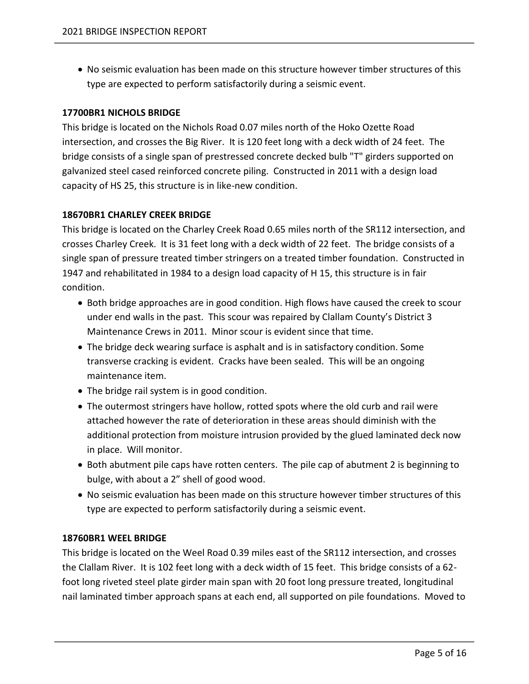• No seismic evaluation has been made on this structure however timber structures of this type are expected to perform satisfactorily during a seismic event.

## <span id="page-7-0"></span>**17700BR1 NICHOLS BRIDGE**

This bridge is located on the Nichols Road 0.07 miles north of the Hoko Ozette Road intersection, and crosses the Big River. It is 120 feet long with a deck width of 24 feet. The bridge consists of a single span of prestressed concrete decked bulb "T" girders supported on galvanized steel cased reinforced concrete piling. Constructed in 2011 with a design load capacity of HS 25, this structure is in like-new condition.

#### <span id="page-7-1"></span>**18670BR1 CHARLEY CREEK BRIDGE**

This bridge is located on the Charley Creek Road 0.65 miles north of the SR112 intersection, and crosses Charley Creek. It is 31 feet long with a deck width of 22 feet. The bridge consists of a single span of pressure treated timber stringers on a treated timber foundation. Constructed in 1947 and rehabilitated in 1984 to a design load capacity of H 15, this structure is in fair condition.

- Both bridge approaches are in good condition. High flows have caused the creek to scour under end walls in the past. This scour was repaired by Clallam County's District 3 Maintenance Crews in 2011. Minor scour is evident since that time.
- The bridge deck wearing surface is asphalt and is in satisfactory condition. Some transverse cracking is evident. Cracks have been sealed. This will be an ongoing maintenance item.
- The bridge rail system is in good condition.
- The outermost stringers have hollow, rotted spots where the old curb and rail were attached however the rate of deterioration in these areas should diminish with the additional protection from moisture intrusion provided by the glued laminated deck now in place. Will monitor.
- Both abutment pile caps have rotten centers. The pile cap of abutment 2 is beginning to bulge, with about a 2" shell of good wood.
- No seismic evaluation has been made on this structure however timber structures of this type are expected to perform satisfactorily during a seismic event.

#### <span id="page-7-2"></span>**18760BR1 WEEL BRIDGE**

This bridge is located on the Weel Road 0.39 miles east of the SR112 intersection, and crosses the Clallam River. It is 102 feet long with a deck width of 15 feet. This bridge consists of a 62 foot long riveted steel plate girder main span with 20 foot long pressure treated, longitudinal nail laminated timber approach spans at each end, all supported on pile foundations. Moved to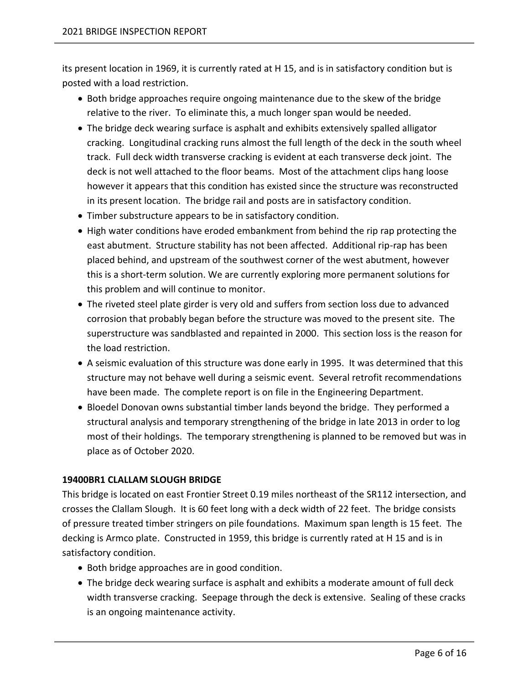its present location in 1969, it is currently rated at H 15, and is in satisfactory condition but is posted with a load restriction.

- Both bridge approaches require ongoing maintenance due to the skew of the bridge relative to the river. To eliminate this, a much longer span would be needed.
- The bridge deck wearing surface is asphalt and exhibits extensively spalled alligator cracking. Longitudinal cracking runs almost the full length of the deck in the south wheel track. Full deck width transverse cracking is evident at each transverse deck joint. The deck is not well attached to the floor beams. Most of the attachment clips hang loose however it appears that this condition has existed since the structure was reconstructed in its present location. The bridge rail and posts are in satisfactory condition.
- Timber substructure appears to be in satisfactory condition.
- High water conditions have eroded embankment from behind the rip rap protecting the east abutment. Structure stability has not been affected. Additional rip-rap has been placed behind, and upstream of the southwest corner of the west abutment, however this is a short-term solution. We are currently exploring more permanent solutions for this problem and will continue to monitor.
- The riveted steel plate girder is very old and suffers from section loss due to advanced corrosion that probably began before the structure was moved to the present site. The superstructure was sandblasted and repainted in 2000. This section loss is the reason for the load restriction.
- A seismic evaluation of this structure was done early in 1995. It was determined that this structure may not behave well during a seismic event. Several retrofit recommendations have been made. The complete report is on file in the Engineering Department.
- Bloedel Donovan owns substantial timber lands beyond the bridge. They performed a structural analysis and temporary strengthening of the bridge in late 2013 in order to log most of their holdings. The temporary strengthening is planned to be removed but was in place as of October 2020.

## <span id="page-8-0"></span>**19400BR1 CLALLAM SLOUGH BRIDGE**

This bridge is located on east Frontier Street 0.19 miles northeast of the SR112 intersection, and crosses the Clallam Slough. It is 60 feet long with a deck width of 22 feet. The bridge consists of pressure treated timber stringers on pile foundations. Maximum span length is 15 feet. The decking is Armco plate. Constructed in 1959, this bridge is currently rated at H 15 and is in satisfactory condition.

- Both bridge approaches are in good condition.
- The bridge deck wearing surface is asphalt and exhibits a moderate amount of full deck width transverse cracking. Seepage through the deck is extensive. Sealing of these cracks is an ongoing maintenance activity.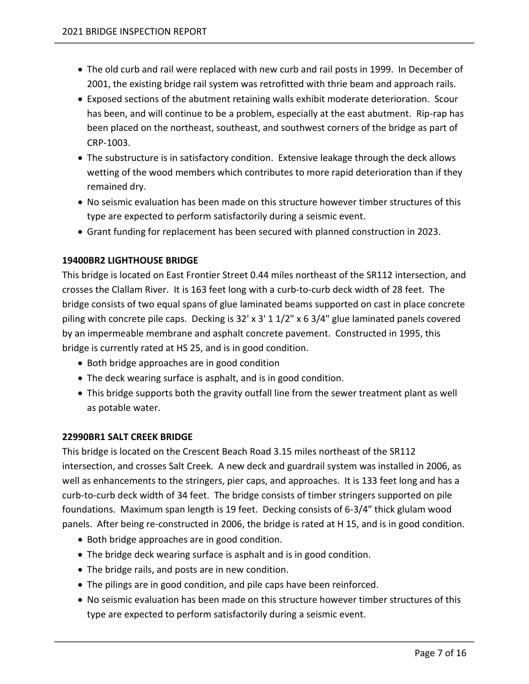- The old curb and rail were replaced with new curb and rail posts in 1999. In December of 2001, the existing bridge rail system was retrofitted with thrie beam and approach rails.
- Exposed sections of the abutment retaining walls exhibit moderate deterioration. Scour has been, and will continue to be a problem, especially at the east abutment. Rip-rap has been placed on the northeast, southeast, and southwest corners of the bridge as part of CRP-1003.
- The substructure is in satisfactory condition. Extensive leakage through the deck allows wetting of the wood members which contributes to more rapid deterioration than if they remained dry.
- No seismic evaluation has been made on this structure however timber structures of this type are expected to perform satisfactorily during a seismic event.
- Grant funding for replacement has been secured with planned construction in 2023.

# <span id="page-9-0"></span>**19400BR2 LIGHTHOUSE BRIDGE**

This bridge is located on East Frontier Street 0.44 miles northeast of the SR112 intersection, and crosses the Clallam River. It is 163 feet long with a curb-to-curb deck width of 28 feet. The bridge consists of two equal spans of glue laminated beams supported on cast in place concrete piling with concrete pile caps. Decking is 32' x 3' 1 1/2" x 6 3/4" glue laminated panels covered by an impermeable membrane and asphalt concrete pavement. Constructed in 1995, this bridge is currently rated at HS 25, and is in good condition.

- Both bridge approaches are in good condition
- The deck wearing surface is asphalt, and is in good condition.
- This bridge supports both the gravity outfall line from the sewer treatment plant as well as potable water.

## <span id="page-9-1"></span>**22990BR1 SALT CREEK BRIDGE**

This bridge is located on the Crescent Beach Road 3.15 miles northeast of the SR112 intersection, and crosses Salt Creek. A new deck and guardrail system was installed in 2006, as well as enhancements to the stringers, pier caps, and approaches. It is 133 feet long and has a curb-to-curb deck width of 34 feet. The bridge consists of timber stringers supported on pile foundations. Maximum span length is 19 feet. Decking consists of 6-3/4" thick glulam wood panels. After being re-constructed in 2006, the bridge is rated at H 15, and is in good condition.

- Both bridge approaches are in good condition.
- The bridge deck wearing surface is asphalt and is in good condition.
- The bridge rails, and posts are in new condition.
- The pilings are in good condition, and pile caps have been reinforced.
- No seismic evaluation has been made on this structure however timber structures of this type are expected to perform satisfactorily during a seismic event.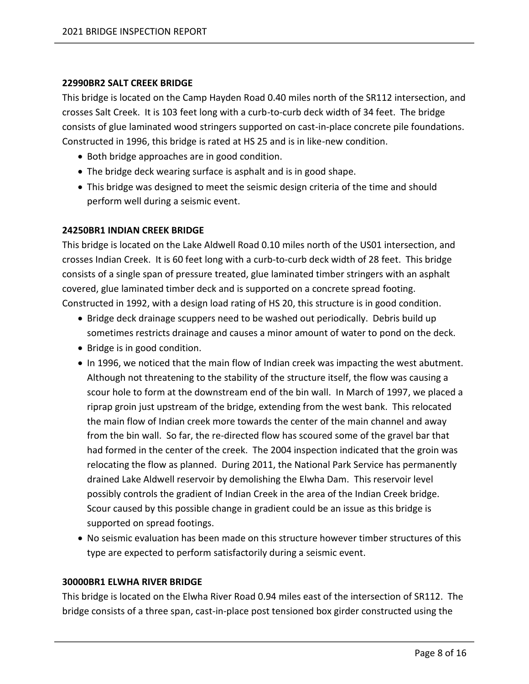#### <span id="page-10-0"></span>**22990BR2 SALT CREEK BRIDGE**

This bridge is located on the Camp Hayden Road 0.40 miles north of the SR112 intersection, and crosses Salt Creek. It is 103 feet long with a curb-to-curb deck width of 34 feet. The bridge consists of glue laminated wood stringers supported on cast-in-place concrete pile foundations. Constructed in 1996, this bridge is rated at HS 25 and is in like-new condition.

- Both bridge approaches are in good condition.
- The bridge deck wearing surface is asphalt and is in good shape.
- This bridge was designed to meet the seismic design criteria of the time and should perform well during a seismic event.

#### <span id="page-10-1"></span>**24250BR1 INDIAN CREEK BRIDGE**

This bridge is located on the Lake Aldwell Road 0.10 miles north of the US01 intersection, and crosses Indian Creek. It is 60 feet long with a curb-to-curb deck width of 28 feet. This bridge consists of a single span of pressure treated, glue laminated timber stringers with an asphalt covered, glue laminated timber deck and is supported on a concrete spread footing. Constructed in 1992, with a design load rating of HS 20, this structure is in good condition.

- Bridge deck drainage scuppers need to be washed out periodically. Debris build up sometimes restricts drainage and causes a minor amount of water to pond on the deck.
- Bridge is in good condition.
- In 1996, we noticed that the main flow of Indian creek was impacting the west abutment. Although not threatening to the stability of the structure itself, the flow was causing a scour hole to form at the downstream end of the bin wall. In March of 1997, we placed a riprap groin just upstream of the bridge, extending from the west bank. This relocated the main flow of Indian creek more towards the center of the main channel and away from the bin wall. So far, the re-directed flow has scoured some of the gravel bar that had formed in the center of the creek. The 2004 inspection indicated that the groin was relocating the flow as planned. During 2011, the National Park Service has permanently drained Lake Aldwell reservoir by demolishing the Elwha Dam. This reservoir level possibly controls the gradient of Indian Creek in the area of the Indian Creek bridge. Scour caused by this possible change in gradient could be an issue as this bridge is supported on spread footings.
- No seismic evaluation has been made on this structure however timber structures of this type are expected to perform satisfactorily during a seismic event.

#### <span id="page-10-2"></span>**30000BR1 ELWHA RIVER BRIDGE**

This bridge is located on the Elwha River Road 0.94 miles east of the intersection of SR112. The bridge consists of a three span, cast-in-place post tensioned box girder constructed using the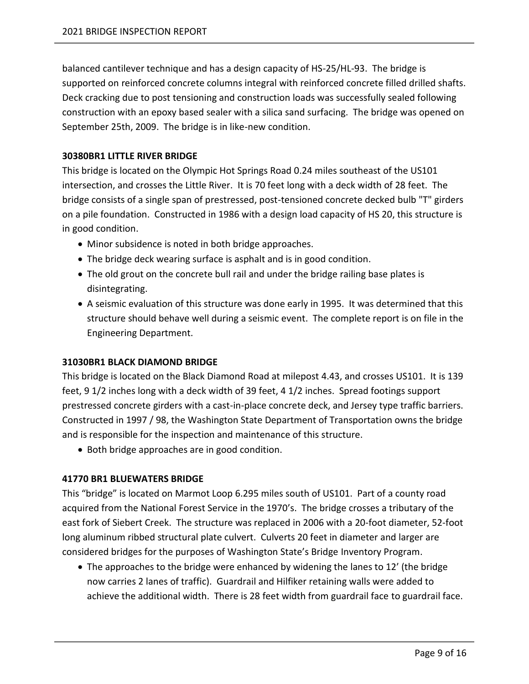balanced cantilever technique and has a design capacity of HS-25/HL-93. The bridge is supported on reinforced concrete columns integral with reinforced concrete filled drilled shafts. Deck cracking due to post tensioning and construction loads was successfully sealed following construction with an epoxy based sealer with a silica sand surfacing. The bridge was opened on September 25th, 2009. The bridge is in like-new condition.

## <span id="page-11-0"></span>**30380BR1 LITTLE RIVER BRIDGE**

This bridge is located on the Olympic Hot Springs Road 0.24 miles southeast of the US101 intersection, and crosses the Little River. It is 70 feet long with a deck width of 28 feet. The bridge consists of a single span of prestressed, post-tensioned concrete decked bulb "T" girders on a pile foundation. Constructed in 1986 with a design load capacity of HS 20, this structure is in good condition.

- Minor subsidence is noted in both bridge approaches.
- The bridge deck wearing surface is asphalt and is in good condition.
- The old grout on the concrete bull rail and under the bridge railing base plates is disintegrating.
- A seismic evaluation of this structure was done early in 1995. It was determined that this structure should behave well during a seismic event. The complete report is on file in the Engineering Department.

## <span id="page-11-1"></span>**31030BR1 BLACK DIAMOND BRIDGE**

This bridge is located on the Black Diamond Road at milepost 4.43, and crosses US101. It is 139 feet, 9 1/2 inches long with a deck width of 39 feet, 4 1/2 inches. Spread footings support prestressed concrete girders with a cast-in-place concrete deck, and Jersey type traffic barriers. Constructed in 1997 / 98, the Washington State Department of Transportation owns the bridge and is responsible for the inspection and maintenance of this structure.

• Both bridge approaches are in good condition.

## <span id="page-11-2"></span>**41770 BR1 BLUEWATERS BRIDGE**

This "bridge" is located on Marmot Loop 6.295 miles south of US101. Part of a county road acquired from the National Forest Service in the 1970's. The bridge crosses a tributary of the east fork of Siebert Creek. The structure was replaced in 2006 with a 20-foot diameter, 52-foot long aluminum ribbed structural plate culvert. Culverts 20 feet in diameter and larger are considered bridges for the purposes of Washington State's Bridge Inventory Program.

• The approaches to the bridge were enhanced by widening the lanes to 12' (the bridge now carries 2 lanes of traffic). Guardrail and Hilfiker retaining walls were added to achieve the additional width. There is 28 feet width from guardrail face to guardrail face.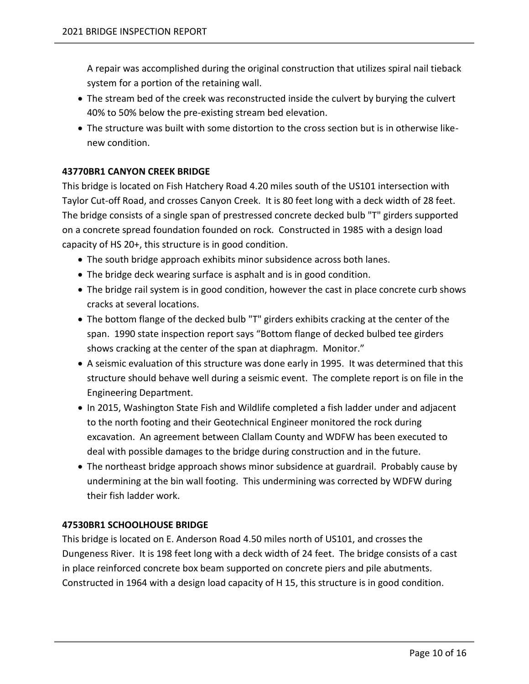A repair was accomplished during the original construction that utilizes spiral nail tieback system for a portion of the retaining wall.

- The stream bed of the creek was reconstructed inside the culvert by burying the culvert 40% to 50% below the pre-existing stream bed elevation.
- The structure was built with some distortion to the cross section but is in otherwise likenew condition.

# <span id="page-12-0"></span>**43770BR1 CANYON CREEK BRIDGE**

This bridge is located on Fish Hatchery Road 4.20 miles south of the US101 intersection with Taylor Cut-off Road, and crosses Canyon Creek. It is 80 feet long with a deck width of 28 feet. The bridge consists of a single span of prestressed concrete decked bulb "T" girders supported on a concrete spread foundation founded on rock. Constructed in 1985 with a design load capacity of HS 20+, this structure is in good condition.

- The south bridge approach exhibits minor subsidence across both lanes.
- The bridge deck wearing surface is asphalt and is in good condition.
- The bridge rail system is in good condition, however the cast in place concrete curb shows cracks at several locations.
- The bottom flange of the decked bulb "T" girders exhibits cracking at the center of the span. 1990 state inspection report says "Bottom flange of decked bulbed tee girders shows cracking at the center of the span at diaphragm. Monitor."
- A seismic evaluation of this structure was done early in 1995. It was determined that this structure should behave well during a seismic event. The complete report is on file in the Engineering Department.
- In 2015, Washington State Fish and Wildlife completed a fish ladder under and adjacent to the north footing and their Geotechnical Engineer monitored the rock during excavation. An agreement between Clallam County and WDFW has been executed to deal with possible damages to the bridge during construction and in the future.
- The northeast bridge approach shows minor subsidence at guardrail. Probably cause by undermining at the bin wall footing. This undermining was corrected by WDFW during their fish ladder work.

## <span id="page-12-1"></span>**47530BR1 SCHOOLHOUSE BRIDGE**

This bridge is located on E. Anderson Road 4.50 miles north of US101, and crosses the Dungeness River. It is 198 feet long with a deck width of 24 feet. The bridge consists of a cast in place reinforced concrete box beam supported on concrete piers and pile abutments. Constructed in 1964 with a design load capacity of H 15, this structure is in good condition.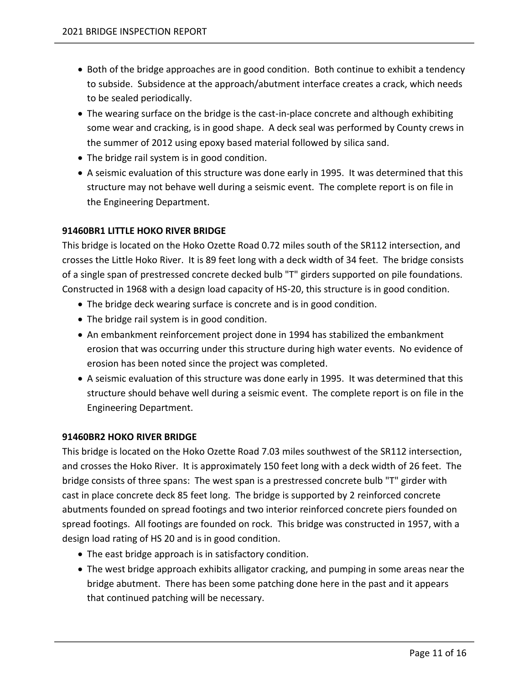- Both of the bridge approaches are in good condition. Both continue to exhibit a tendency to subside. Subsidence at the approach/abutment interface creates a crack, which needs to be sealed periodically.
- The wearing surface on the bridge is the cast-in-place concrete and although exhibiting some wear and cracking, is in good shape. A deck seal was performed by County crews in the summer of 2012 using epoxy based material followed by silica sand.
- The bridge rail system is in good condition.
- A seismic evaluation of this structure was done early in 1995. It was determined that this structure may not behave well during a seismic event. The complete report is on file in the Engineering Department.

# <span id="page-13-0"></span>**91460BR1 LITTLE HOKO RIVER BRIDGE**

This bridge is located on the Hoko Ozette Road 0.72 miles south of the SR112 intersection, and crosses the Little Hoko River. It is 89 feet long with a deck width of 34 feet. The bridge consists of a single span of prestressed concrete decked bulb "T" girders supported on pile foundations. Constructed in 1968 with a design load capacity of HS-20, this structure is in good condition.

- The bridge deck wearing surface is concrete and is in good condition.
- The bridge rail system is in good condition.
- An embankment reinforcement project done in 1994 has stabilized the embankment erosion that was occurring under this structure during high water events. No evidence of erosion has been noted since the project was completed.
- A seismic evaluation of this structure was done early in 1995. It was determined that this structure should behave well during a seismic event. The complete report is on file in the Engineering Department.

## <span id="page-13-1"></span>**91460BR2 HOKO RIVER BRIDGE**

This bridge is located on the Hoko Ozette Road 7.03 miles southwest of the SR112 intersection, and crosses the Hoko River. It is approximately 150 feet long with a deck width of 26 feet. The bridge consists of three spans: The west span is a prestressed concrete bulb "T" girder with cast in place concrete deck 85 feet long. The bridge is supported by 2 reinforced concrete abutments founded on spread footings and two interior reinforced concrete piers founded on spread footings. All footings are founded on rock. This bridge was constructed in 1957, with a design load rating of HS 20 and is in good condition.

- The east bridge approach is in satisfactory condition.
- The west bridge approach exhibits alligator cracking, and pumping in some areas near the bridge abutment. There has been some patching done here in the past and it appears that continued patching will be necessary.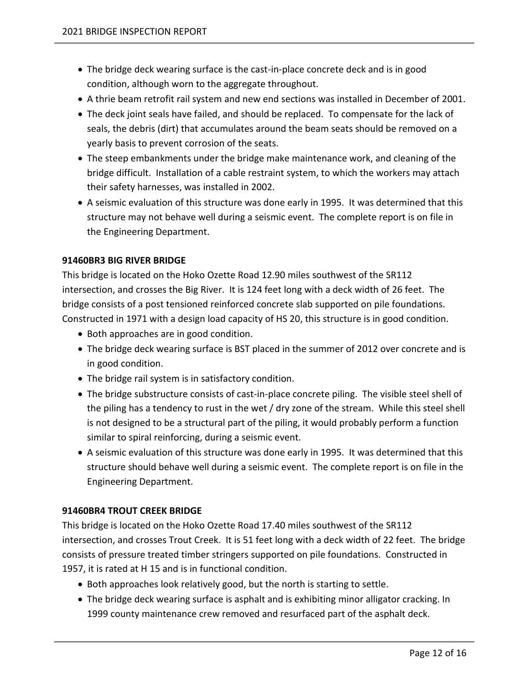- The bridge deck wearing surface is the cast-in-place concrete deck and is in good condition, although worn to the aggregate throughout.
- A thrie beam retrofit rail system and new end sections was installed in December of 2001.
- The deck joint seals have failed, and should be replaced. To compensate for the lack of seals, the debris (dirt) that accumulates around the beam seats should be removed on a yearly basis to prevent corrosion of the seats.
- The steep embankments under the bridge make maintenance work, and cleaning of the bridge difficult. Installation of a cable restraint system, to which the workers may attach their safety harnesses, was installed in 2002.
- A seismic evaluation of this structure was done early in 1995. It was determined that this structure may not behave well during a seismic event. The complete report is on file in the Engineering Department.

# <span id="page-14-0"></span>**91460BR3 BIG RIVER BRIDGE**

This bridge is located on the Hoko Ozette Road 12.90 miles southwest of the SR112 intersection, and crosses the Big River. It is 124 feet long with a deck width of 26 feet. The bridge consists of a post tensioned reinforced concrete slab supported on pile foundations. Constructed in 1971 with a design load capacity of HS 20, this structure is in good condition.

- Both approaches are in good condition.
- The bridge deck wearing surface is BST placed in the summer of 2012 over concrete and is in good condition.
- The bridge rail system is in satisfactory condition.
- The bridge substructure consists of cast-in-place concrete piling. The visible steel shell of the piling has a tendency to rust in the wet / dry zone of the stream. While this steel shell is not designed to be a structural part of the piling, it would probably perform a function similar to spiral reinforcing, during a seismic event.
- A seismic evaluation of this structure was done early in 1995. It was determined that this structure should behave well during a seismic event. The complete report is on file in the Engineering Department.

## <span id="page-14-1"></span>**91460BR4 TROUT CREEK BRIDGE**

This bridge is located on the Hoko Ozette Road 17.40 miles southwest of the SR112 intersection, and crosses Trout Creek. It is 51 feet long with a deck width of 22 feet. The bridge consists of pressure treated timber stringers supported on pile foundations. Constructed in 1957, it is rated at H 15 and is in functional condition.

- Both approaches look relatively good, but the north is starting to settle.
- The bridge deck wearing surface is asphalt and is exhibiting minor alligator cracking. In 1999 county maintenance crew removed and resurfaced part of the asphalt deck.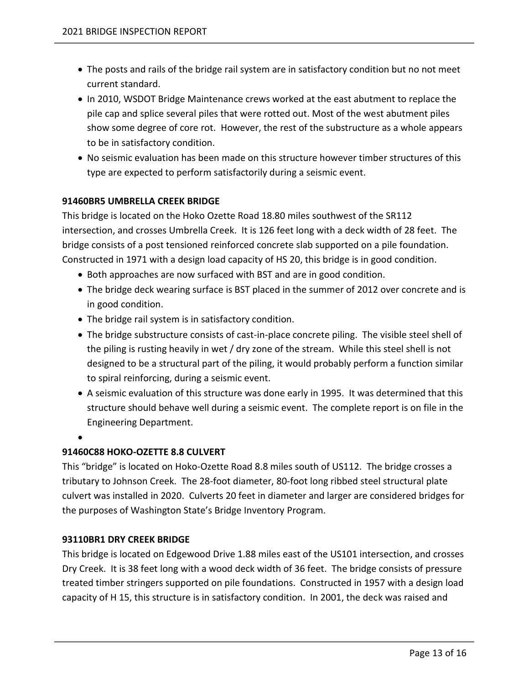- The posts and rails of the bridge rail system are in satisfactory condition but no not meet current standard.
- In 2010, WSDOT Bridge Maintenance crews worked at the east abutment to replace the pile cap and splice several piles that were rotted out. Most of the west abutment piles show some degree of core rot. However, the rest of the substructure as a whole appears to be in satisfactory condition.
- No seismic evaluation has been made on this structure however timber structures of this type are expected to perform satisfactorily during a seismic event.

# <span id="page-15-0"></span>**91460BR5 UMBRELLA CREEK BRIDGE**

This bridge is located on the Hoko Ozette Road 18.80 miles southwest of the SR112 intersection, and crosses Umbrella Creek. It is 126 feet long with a deck width of 28 feet. The bridge consists of a post tensioned reinforced concrete slab supported on a pile foundation. Constructed in 1971 with a design load capacity of HS 20, this bridge is in good condition.

- Both approaches are now surfaced with BST and are in good condition.
- The bridge deck wearing surface is BST placed in the summer of 2012 over concrete and is in good condition.
- The bridge rail system is in satisfactory condition.
- The bridge substructure consists of cast-in-place concrete piling. The visible steel shell of the piling is rusting heavily in wet / dry zone of the stream. While this steel shell is not designed to be a structural part of the piling, it would probably perform a function similar to spiral reinforcing, during a seismic event.
- A seismic evaluation of this structure was done early in 1995. It was determined that this structure should behave well during a seismic event. The complete report is on file in the Engineering Department.

#### •

## <span id="page-15-1"></span>**91460C88 HOKO-OZETTE 8.8 CULVERT**

This "bridge" is located on Hoko-Ozette Road 8.8 miles south of US112. The bridge crosses a tributary to Johnson Creek. The 28-foot diameter, 80-foot long ribbed steel structural plate culvert was installed in 2020. Culverts 20 feet in diameter and larger are considered bridges for the purposes of Washington State's Bridge Inventory Program.

## <span id="page-15-2"></span>**93110BR1 DRY CREEK BRIDGE**

This bridge is located on Edgewood Drive 1.88 miles east of the US101 intersection, and crosses Dry Creek. It is 38 feet long with a wood deck width of 36 feet. The bridge consists of pressure treated timber stringers supported on pile foundations. Constructed in 1957 with a design load capacity of H 15, this structure is in satisfactory condition. In 2001, the deck was raised and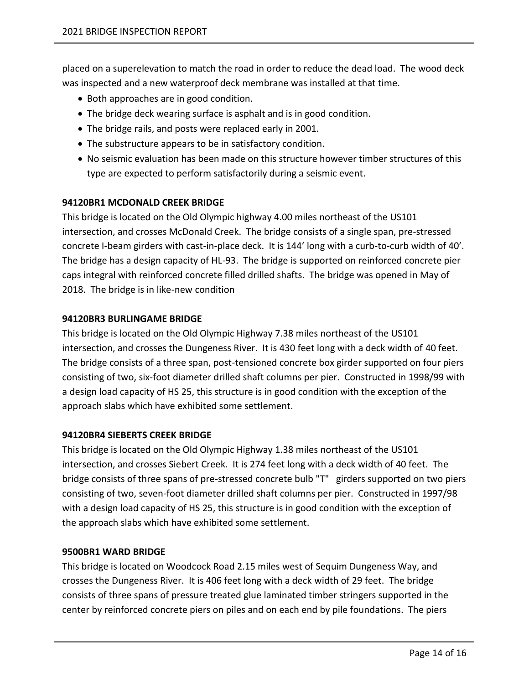placed on a superelevation to match the road in order to reduce the dead load. The wood deck was inspected and a new waterproof deck membrane was installed at that time.

- Both approaches are in good condition.
- The bridge deck wearing surface is asphalt and is in good condition.
- The bridge rails, and posts were replaced early in 2001.
- The substructure appears to be in satisfactory condition.
- No seismic evaluation has been made on this structure however timber structures of this type are expected to perform satisfactorily during a seismic event.

# <span id="page-16-0"></span>**94120BR1 MCDONALD CREEK BRIDGE**

This bridge is located on the Old Olympic highway 4.00 miles northeast of the US101 intersection, and crosses McDonald Creek. The bridge consists of a single span, pre-stressed concrete I-beam girders with cast-in-place deck. It is 144' long with a curb-to-curb width of 40'. The bridge has a design capacity of HL-93. The bridge is supported on reinforced concrete pier caps integral with reinforced concrete filled drilled shafts. The bridge was opened in May of 2018. The bridge is in like-new condition

## <span id="page-16-1"></span>**94120BR3 BURLINGAME BRIDGE**

This bridge is located on the Old Olympic Highway 7.38 miles northeast of the US101 intersection, and crosses the Dungeness River. It is 430 feet long with a deck width of 40 feet. The bridge consists of a three span, post-tensioned concrete box girder supported on four piers consisting of two, six-foot diameter drilled shaft columns per pier. Constructed in 1998/99 with a design load capacity of HS 25, this structure is in good condition with the exception of the approach slabs which have exhibited some settlement.

## <span id="page-16-2"></span>**94120BR4 SIEBERTS CREEK BRIDGE**

This bridge is located on the Old Olympic Highway 1.38 miles northeast of the US101 intersection, and crosses Siebert Creek. It is 274 feet long with a deck width of 40 feet. The bridge consists of three spans of pre-stressed concrete bulb "T" girders supported on two piers consisting of two, seven-foot diameter drilled shaft columns per pier. Constructed in 1997/98 with a design load capacity of HS 25, this structure is in good condition with the exception of the approach slabs which have exhibited some settlement.

## <span id="page-16-3"></span>**9500BR1 WARD BRIDGE**

This bridge is located on Woodcock Road 2.15 miles west of Sequim Dungeness Way, and crosses the Dungeness River. It is 406 feet long with a deck width of 29 feet. The bridge consists of three spans of pressure treated glue laminated timber stringers supported in the center by reinforced concrete piers on piles and on each end by pile foundations. The piers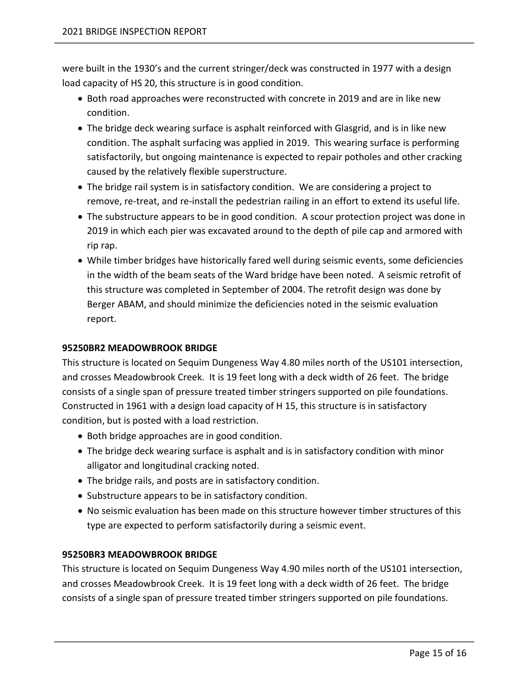were built in the 1930's and the current stringer/deck was constructed in 1977 with a design load capacity of HS 20, this structure is in good condition.

- Both road approaches were reconstructed with concrete in 2019 and are in like new condition.
- The bridge deck wearing surface is asphalt reinforced with Glasgrid, and is in like new condition. The asphalt surfacing was applied in 2019. This wearing surface is performing satisfactorily, but ongoing maintenance is expected to repair potholes and other cracking caused by the relatively flexible superstructure.
- The bridge rail system is in satisfactory condition. We are considering a project to remove, re-treat, and re-install the pedestrian railing in an effort to extend its useful life.
- The substructure appears to be in good condition. A scour protection project was done in 2019 in which each pier was excavated around to the depth of pile cap and armored with rip rap.
- While timber bridges have historically fared well during seismic events, some deficiencies in the width of the beam seats of the Ward bridge have been noted. A seismic retrofit of this structure was completed in September of 2004. The retrofit design was done by Berger ABAM, and should minimize the deficiencies noted in the seismic evaluation report.

# <span id="page-17-0"></span>**95250BR2 MEADOWBROOK BRIDGE**

This structure is located on Sequim Dungeness Way 4.80 miles north of the US101 intersection, and crosses Meadowbrook Creek. It is 19 feet long with a deck width of 26 feet. The bridge consists of a single span of pressure treated timber stringers supported on pile foundations. Constructed in 1961 with a design load capacity of H 15, this structure is in satisfactory condition, but is posted with a load restriction.

- Both bridge approaches are in good condition.
- The bridge deck wearing surface is asphalt and is in satisfactory condition with minor alligator and longitudinal cracking noted.
- The bridge rails, and posts are in satisfactory condition.
- Substructure appears to be in satisfactory condition.
- No seismic evaluation has been made on this structure however timber structures of this type are expected to perform satisfactorily during a seismic event.

## <span id="page-17-1"></span>**95250BR3 MEADOWBROOK BRIDGE**

This structure is located on Sequim Dungeness Way 4.90 miles north of the US101 intersection, and crosses Meadowbrook Creek. It is 19 feet long with a deck width of 26 feet. The bridge consists of a single span of pressure treated timber stringers supported on pile foundations.